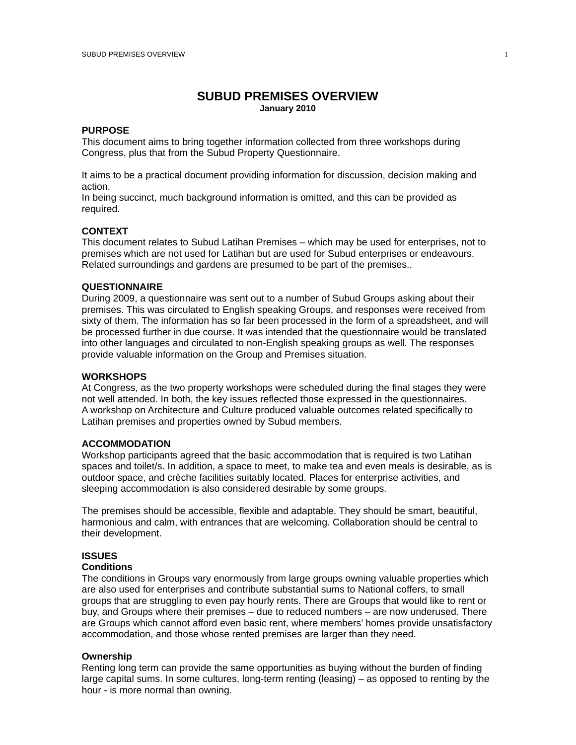# **SUBUD PREMISES OVERVIEW January 2010**

# **PURPOSE**

This document aims to bring together information collected from three workshops during Congress, plus that from the Subud Property Questionnaire.

It aims to be a practical document providing information for discussion, decision making and action.

In being succinct, much background information is omitted, and this can be provided as required.

# **CONTEXT**

This document relates to Subud Latihan Premises – which may be used for enterprises, not to premises which are not used for Latihan but are used for Subud enterprises or endeavours. Related surroundings and gardens are presumed to be part of the premises..

# **QUESTIONNAIRE**

During 2009, a questionnaire was sent out to a number of Subud Groups asking about their premises. This was circulated to English speaking Groups, and responses were received from sixty of them. The information has so far been processed in the form of a spreadsheet, and will be processed further in due course. It was intended that the questionnaire would be translated into other languages and circulated to non-English speaking groups as well. The responses provide valuable information on the Group and Premises situation.

# **WORKSHOPS**

At Congress, as the two property workshops were scheduled during the final stages they were not well attended. In both, the key issues reflected those expressed in the questionnaires. A workshop on Architecture and Culture produced valuable outcomes related specifically to Latihan premises and properties owned by Subud members.

# **ACCOMMODATION**

Workshop participants agreed that the basic accommodation that is required is two Latihan spaces and toilet/s. In addition, a space to meet, to make tea and even meals is desirable, as is outdoor space, and crèche facilities suitably located. Places for enterprise activities, and sleeping accommodation is also considered desirable by some groups.

The premises should be accessible, flexible and adaptable. They should be smart, beautiful, harmonious and calm, with entrances that are welcoming. Collaboration should be central to their development.

### **ISSUES**

### **Conditions**

The conditions in Groups vary enormously from large groups owning valuable properties which are also used for enterprises and contribute substantial sums to National coffers, to small groups that are struggling to even pay hourly rents. There are Groups that would like to rent or buy, and Groups where their premises – due to reduced numbers – are now underused. There are Groups which cannot afford even basic rent, where members' homes provide unsatisfactory accommodation, and those whose rented premises are larger than they need.

# **Ownership**

Renting long term can provide the same opportunities as buying without the burden of finding large capital sums. In some cultures, long-term renting (leasing) – as opposed to renting by the hour - is more normal than owning.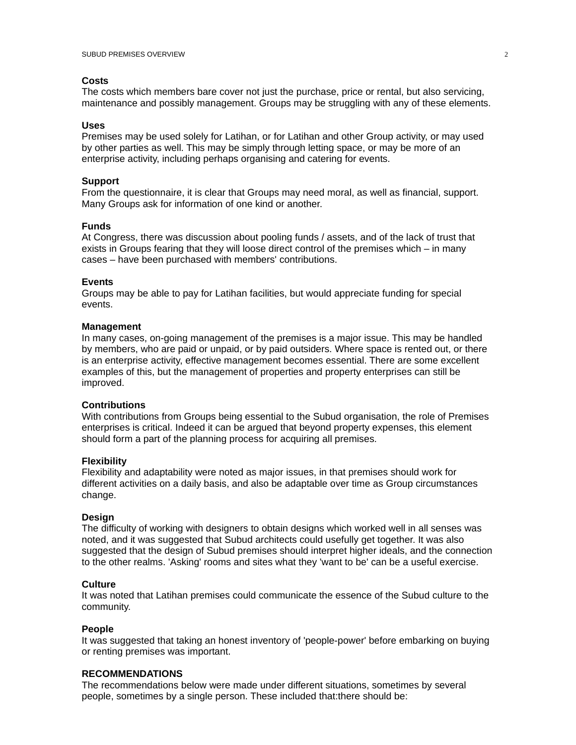# **Costs**

The costs which members bare cover not just the purchase, price or rental, but also servicing, maintenance and possibly management. Groups may be struggling with any of these elements.

### **Uses**

Premises may be used solely for Latihan, or for Latihan and other Group activity, or may used by other parties as well. This may be simply through letting space, or may be more of an enterprise activity, including perhaps organising and catering for events.

# **Support**

From the questionnaire, it is clear that Groups may need moral, as well as financial, support. Many Groups ask for information of one kind or another.

#### **Funds**

At Congress, there was discussion about pooling funds / assets, and of the lack of trust that exists in Groups fearing that they will loose direct control of the premises which – in many cases – have been purchased with members' contributions.

#### **Events**

Groups may be able to pay for Latihan facilities, but would appreciate funding for special events.

# **Management**

In many cases, on-going management of the premises is a major issue. This may be handled by members, who are paid or unpaid, or by paid outsiders. Where space is rented out, or there is an enterprise activity, effective management becomes essential. There are some excellent examples of this, but the management of properties and property enterprises can still be improved.

### **Contributions**

With contributions from Groups being essential to the Subud organisation, the role of Premises enterprises is critical. Indeed it can be argued that beyond property expenses, this element should form a part of the planning process for acquiring all premises.

### **Flexibility**

Flexibility and adaptability were noted as major issues, in that premises should work for different activities on a daily basis, and also be adaptable over time as Group circumstances change.

# **Design**

The difficulty of working with designers to obtain designs which worked well in all senses was noted, and it was suggested that Subud architects could usefully get together. It was also suggested that the design of Subud premises should interpret higher ideals, and the connection to the other realms. 'Asking' rooms and sites what they 'want to be' can be a useful exercise.

## **Culture**

It was noted that Latihan premises could communicate the essence of the Subud culture to the community.

### **People**

It was suggested that taking an honest inventory of 'people-power' before embarking on buying or renting premises was important.

# **RECOMMENDATIONS**

The recommendations below were made under different situations, sometimes by several people, sometimes by a single person. These included that:there should be: